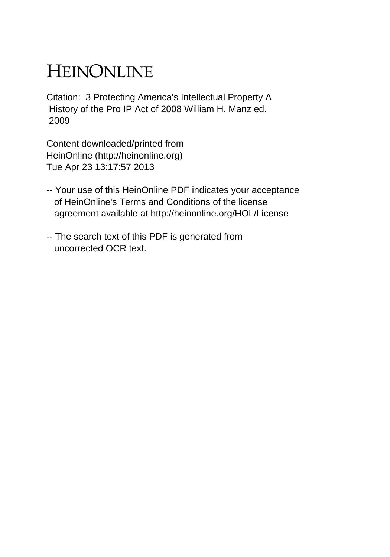# HEINONLINE

Citation: 3 Protecting America's Intellectual Property A History of the Pro IP Act of 2008 William H. Manz ed. 2009

Content downloaded/printed from HeinOnline (http://heinonline.org) Tue Apr 23 13:17:57 2013

- -- Your use of this HeinOnline PDF indicates your acceptance of HeinOnline's Terms and Conditions of the license agreement available at http://heinonline.org/HOL/License
- -- The search text of this PDF is generated from uncorrected OCR text.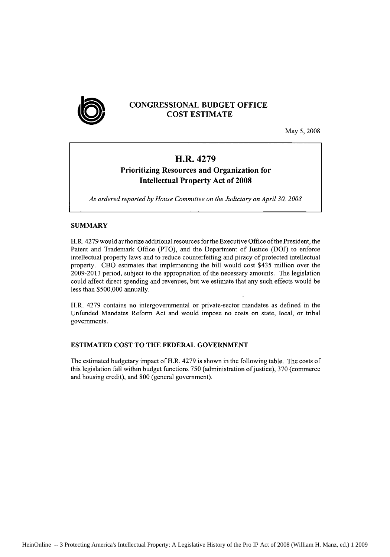

### **CONGRESSIONAL BUDGET OFFICE COST ESTIMATE**

May 5, 2008

# **H.R. 4279**

## **Prioritizing Resources and Organization for Intellectual Property Act of 2008**

*As ordered reported by House Committee on the Judiciary on April 30, 2008*

#### **SUMMARY**

H.R. 4279 would authorize additional resources for the Executive Office of the President, the Patent and Trademark Office (PTO), and the Department of Justice (DOJ) to enforce intellectual property laws and to reduce counterfeiting and piracy of protected intellectual property. CBO estimates that implementing the bill would cost \$435 million over the 2009-2013 period, subject to the appropriation of the necessary amounts. The legislation could affect direct spending and revenues, but we estimate that any such effects would be less than \$500,000 annually.

H.R. 4279 contains no intergovernmental or private-sector mandates as defined in the Unfunded Mandates Reform Act and would impose no costs on state, local, or tribal governments.

#### **ESTIMATED** COST TO THE FEDERAL **GOVERNMENT**

The estimated budgetary impact of H.R. 4279 is shown in the following table. The costs **of** this legislation fall within budget functions **750** (administration of justice), **370** (commerce and housing credit), and **800** (general government).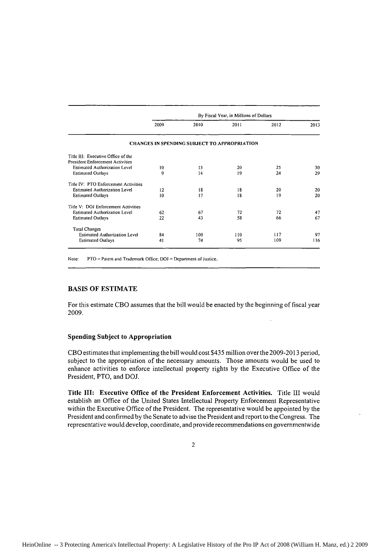|                                         | By Fiscal Year, in Millions of Dollars |      |                                                     |      |      |
|-----------------------------------------|----------------------------------------|------|-----------------------------------------------------|------|------|
|                                         | 2009                                   | 2010 | 2011                                                | 2012 | 2013 |
|                                         |                                        |      | <b>CHANGES IN SPENDING SUBJECT TO APPROPRIATION</b> |      |      |
| Title III: Executive Office of the      |                                        |      |                                                     |      |      |
| <b>President Enforcement Activities</b> |                                        |      |                                                     |      |      |
| Estimated Authorization Level           | 10                                     | 15   | 20                                                  | 25   | 30   |
| <b>Estimated Outlays</b>                | 9                                      | 14   | 19                                                  | 24   | 29   |
| Title IV: PTO Enforcement Activities    |                                        |      |                                                     |      |      |
| <b>Estimated Authorization Level</b>    | 12                                     | 18   | 18                                                  | 20   | 20   |
| <b>Estimated Outlays</b>                | 10                                     | 17   | 18                                                  | 19   | 20   |
| Title V: DOJ Enforcement Activities     |                                        |      |                                                     |      |      |
| <b>Estimated Authorization Level</b>    | 62                                     | 67   | 72                                                  | 72   | 47   |
| <b>Estimated Outlays</b>                | 22                                     | 43   | 58                                                  | 66   | 67   |
| <b>Total Changes</b>                    |                                        |      |                                                     |      |      |
| <b>Estimated Authorization Level</b>    | 84                                     | 100  | 110                                                 | 117  | 97   |
| <b>Estimated Outlays</b>                | 41                                     | 74   | 95                                                  | 109  | 116  |

Note: PTO = Patent and Trademark Office; DOJ = Department of Justice.

#### **BASIS** OF **ESTIMATE**

For this estimate CBO assumes that the bill would be enacted by the beginning of fiscal year 2009.

#### Spending Subject to Appropriation

CBO estimates that implementing the bill would cost \$435 million over the 2009-2013 period, subject to the appropriation of the necessary amounts. Those amounts would be used to enhance activities to enforce intellectual property rights by the Executive Office of the President, PTO, and DOJ.

Title **III:** Executive Office of the President Enforcement Activities. Title **III** would establish an Office of the United States Intellectual Property Enforcement Representative within the Executive Office of the President. The representative would be appointed by the President and confirmed by the Senate to advise the President and report to the Congress. The representative would develop, coordinate, and provide recommendations on governmentwide

 $\overline{c}$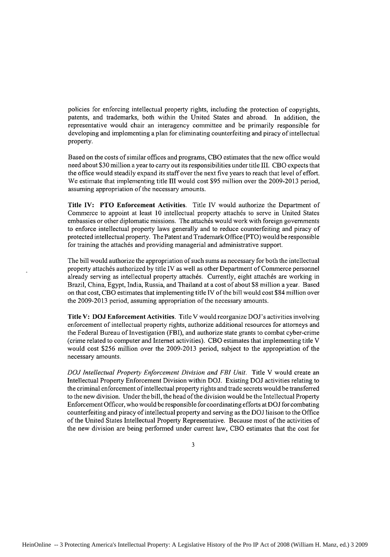policies for enforcing intellectual property rights, including the protection of copyrights, patents, and trademarks, both within the United States and abroad. In addition, the representative would chair an interagency committee and be primarily responsible for developing and implementing a plan for eliminating counterfeiting and piracy of intellectual property.

Based on the costs of similar offices and programs, CBO estimates that the new office would need about \$30 million a year to carry out its responsibilities under title II. CBO expects that the office would steadily expand its staff over the next five years to reach that level of effort. We estimate that implementing title III would cost \$95 million over the 2009-2013 period, assuming appropriation of the necessary amounts.

Title IV: PTO Enforcement Activities. Title IV would authorize the Department of Commerce to appoint at least 10 intellectual property attachés to serve in United States embassies or other diplomatic missions. The attachés would work with foreign governments to enforce intellectual property laws generally and to reduce counterfeiting and piracy of protected intellectual property. The Patent and Trademark Office (PTO) would be responsible for training the attaches and providing managerial and administrative support.

The bill would authorize the appropriation of such sums as necessary for both the intellectual property attachés authorized by title IV as well as other Department of Commerce personnel already serving as intellectual property attachés. Currently, eight attachés are working in Brazil, China, Egypt, India, Russia, and Thailand at a cost of about \$8 million a year. Based on that cost, CBO estimates that implementing title **IV** of the bill would cost \$84 million over the 2009-2013 period, assuming appropriation of the necessary amounts.

Title V: **DOJ** Enforcement Activities. Title V would reorganize DOJ's activities involving enforcement of intellectual property rights, authorize additional resources for attorneys and the Federal Bureau of Investigation (FBI), and authorize state grants to combat cyber-crime (crime related to computer and Internet activities). CBO estimates that implementing title V would cost \$256 million over the 2009-2013 period, subject to the appropriation of the necessary amounts.

*DOJ Intellectual Property Enforcement Division and FBI Unit.* Title V would create an Intellectual Property Enforcement Division within DOJ. Existing DOJ activities relating to the criminal enforcement of intellectual property rights and trade secrets would be transferred to the new division. Under the bill, the head of the division would be the Intellectual Property Enforcement Officer, who would be responsible for coordinating efforts at DOJ for combating counterfeiting and piracy of intellectual property and serving as the DOJ liaison to the Office of the United States Intellectual Property Representative. Because most of the activities of the new division are being performed under current law, CBO estimates that the cost for

 $\overline{3}$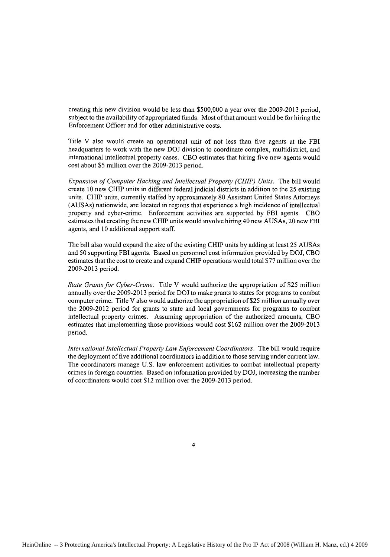creating this new division would be less than \$500,000 a year over the 2009-2013 period, subject to the availability of appropriated funds. Most of that amount would be for hiring the Enforcement Officer and for other administrative costs.

Title V also would create an operational unit of not less than five agents at the FBI headquarters to work with the new DOJ division to coordinate complex, multidistrict, and international intellectual property cases. CBO estimates that hiring five new agents would cost about \$5 million over the 2009-2013 period.

*Expansion of Computer Hacking and Intellectual Property (CHIP) Units.* The bill would create 10 new CHIP units in different federal judicial districts in addition to the 25 existing units. CHIP units, currently staffed by approximately 80 Assistant United States Attorneys (AUSAs) nationwide, are located in regions that experience a high incidence of intellectual property and cyber-crime. Enforcement activities are supported by FBI agents. CBO estimates that creating the new CHIP units would involve hiring 40 new AUSAs, 20 new FBI agents, and 10 additional support staff.

The bill also would expand the size of the existing CHIP units by adding at least 25 AUSAs and 50 supporting FBI agents. Based on personnel cost information provided by DOJ, CBO estimates that the cost to create and expand CHIP operations would total \$77 million over the 2009-2013 period.

*State Grants for Cyber-Crime.* Title V would authorize the appropriation of \$25 million annually over the 2009-2013 period for DOJ to make grants to states for programs to combat computer crime. Title V also would authorize the appropriation of \$25 million annually over the 2009-2012 period for grants to state and local governments for programs to combat intellectual property crimes. Assuming appropriation of the authorized amounts, CBO estimates that implementing those provisions would cost \$162 million over the 2009-2013 period.

*International Intellectual Property Law Enforcement Coordinators.* The bill would require the deployment of five additional coordinators in addition to those serving under current law. The coordinators manage U.S. law enforcement activities to combat intellectual property crimes in foreign countries. Based on information provided by DOJ, increasing the number of coordinators would cost \$12 million over the 2009-2013 period.

 $\Delta$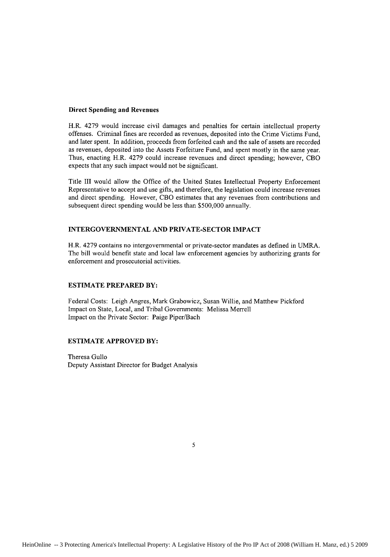#### Direct Spending and Revenues

H.R. 4279 would increase civil damages and penalties for certain intellectual property offenses. Criminal fines are recorded as revenues, deposited into the Crime Victims Fund, and later spent. In addition, proceeds from forfeited cash and the sale of assets are recorded as revenues, deposited into the Assets Forfeiture Fund, and spent mostly in the same year. Thus, enacting H.R. 4279 could increase revenues and direct spending; however, CBO expects that any such impact would not be significant.

Title III would allow the Office of the United States Intellectual Property Enforcement Representative to accept and use gifts, and therefore, the legislation could increase revenues and direct spending. However, CBO estimates that any revenues from contributions and subsequent direct spending would be less than \$500,000 annually.

#### **INTERGOVERNMENTAL AND PRIVATE-SECTOR IMPACT**

H.R. 4279 contains no intergovernmental or private-sector mandates as defined in **UMRA.** The bill would benefit state and local law enforcement agencies **by** authorizing grants for enforcement and prosecutorial activities.

#### **ESTIMATE PREPARED BY:**

Federal Costs: Leigh Angres, Mark Grabowicz, Susan Willie, and Matthew Pickford Impact on State, Local, and Tribal Governments: Melissa Merrell Impact on the Private Sector: Paige Piper/Bach

#### **ESTIMATE APPROVED BY:**

Theresa Gullo Deputy Assistant Director for Budget Analysis

5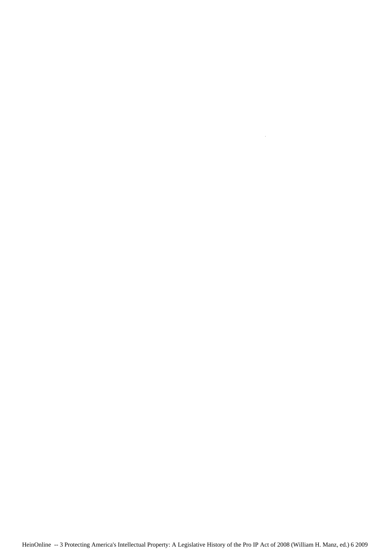HeinOnline -- 3 Protecting America's Intellectual Property: A Legislative History of the Pro IP Act of 2008 (William H. Manz, ed.) 6 2009

 $\bar{z}$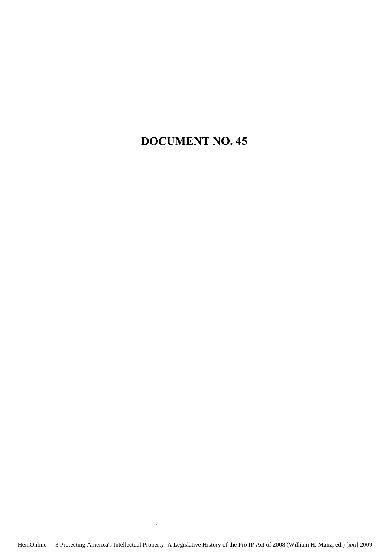# **DOCUMENT NO.** 45

 $\hat{\boldsymbol{\beta}}$